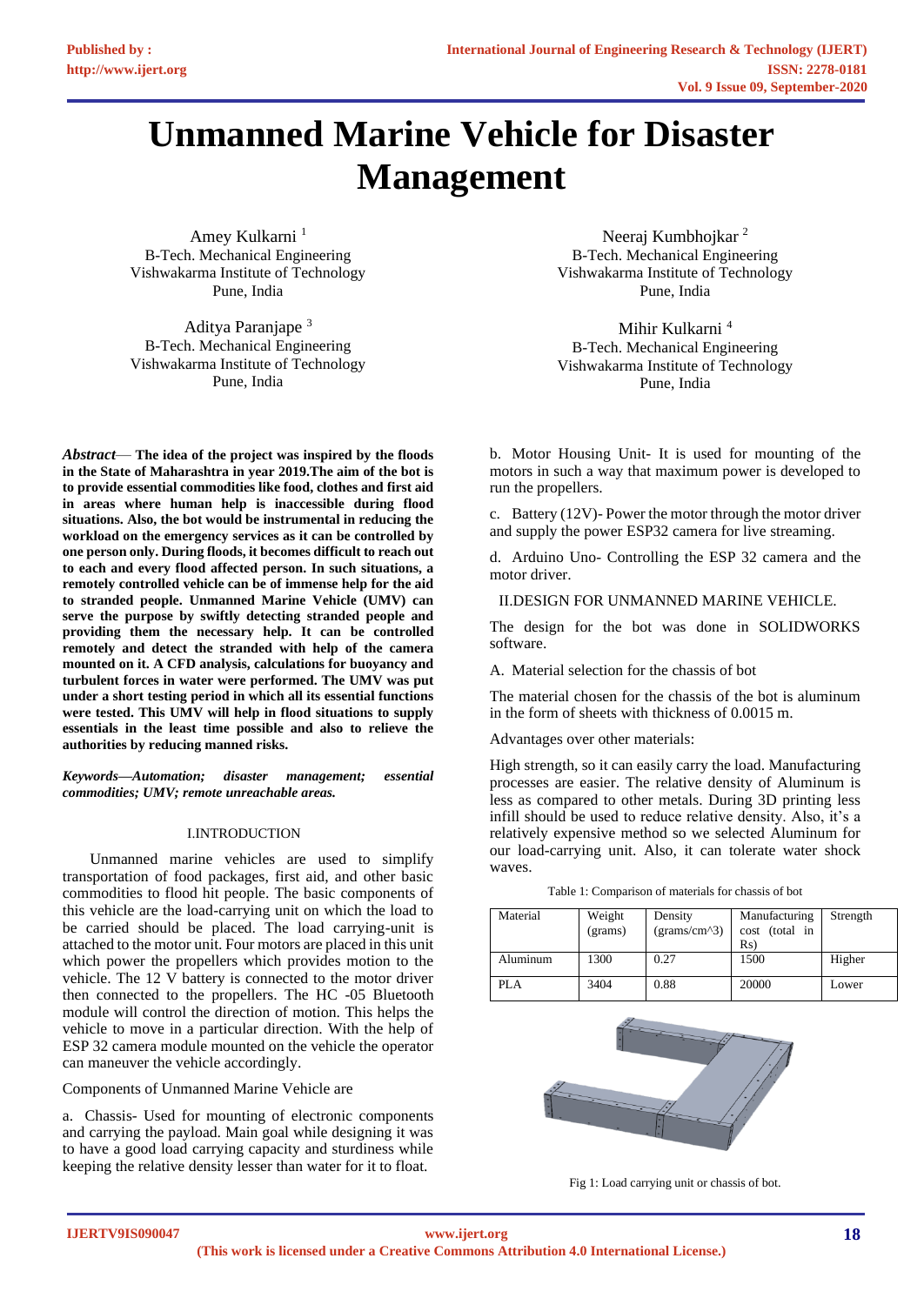# **Unmanned Marine Vehicle for Disaster Management**

Amey Kulkarni<sup>1</sup> B-Tech. Mechanical Engineering Vishwakarma Institute of Technology Pune, India

Aditya Paranjape <sup>3</sup> B-Tech. Mechanical Engineering Vishwakarma Institute of Technology Pune, India

*Abstract*— **The idea of the project was inspired by the floods in the State of Maharashtra in year 2019.The aim of the bot is to provide essential commodities like food, clothes and first aid in areas where human help is inaccessible during flood situations. Also, the bot would be instrumental in reducing the workload on the emergency services as it can be controlled by one person only. During floods, it becomes difficult to reach out to each and every flood affected person. In such situations, a remotely controlled vehicle can be of immense help for the aid to stranded people. Unmanned Marine Vehicle (UMV) can serve the purpose by swiftly detecting stranded people and providing them the necessary help. It can be controlled remotely and detect the stranded with help of the camera mounted on it. A CFD analysis, calculations for buoyancy and turbulent forces in water were performed. The UMV was put under a short testing period in which all its essential functions were tested. This UMV will help in flood situations to supply essentials in the least time possible and also to relieve the authorities by reducing manned risks.** 

*Keywords—Automation; disaster management; essential commodities; UMV; remote unreachable areas.*

## I.INTRODUCTION

 Unmanned marine vehicles are used to simplify transportation of food packages, first aid, and other basic commodities to flood hit people. The basic components of this vehicle are the load-carrying unit on which the load to be carried should be placed. The load carrying-unit is attached to the motor unit. Four motors are placed in this unit which power the propellers which provides motion to the vehicle. The 12 V battery is connected to the motor driver then connected to the propellers. The HC -05 Bluetooth module will control the direction of motion. This helps the vehicle to move in a particular direction. With the help of ESP 32 camera module mounted on the vehicle the operator can maneuver the vehicle accordingly.

Components of Unmanned Marine Vehicle are

a. Chassis- Used for mounting of electronic components and carrying the payload. Main goal while designing it was to have a good load carrying capacity and sturdiness while keeping the relative density lesser than water for it to float.

Neeraj Kumbhojkar <sup>2</sup> B-Tech. Mechanical Engineering Vishwakarma Institute of Technology Pune, India

Mihir Kulkarni <sup>4</sup> B-Tech. Mechanical Engineering Vishwakarma Institute of Technology Pune, India

b. Motor Housing Unit- It is used for mounting of the motors in such a way that maximum power is developed to run the propellers.

c. Battery (12V)- Power the motor through the motor driver and supply the power ESP32 camera for live streaming.

d. Arduino Uno- Controlling the ESP 32 camera and the motor driver.

II.DESIGN FOR UNMANNED MARINE VEHICLE.

The design for the bot was done in SOLIDWORKS software.

A. Material selection for the chassis of bot

The material chosen for the chassis of the bot is aluminum in the form of sheets with thickness of 0.0015 m.

Advantages over other materials:

High strength, so it can easily carry the load. Manufacturing processes are easier. The relative density of Aluminum is less as compared to other metals. During 3D printing less infill should be used to reduce relative density. Also, it's a relatively expensive method so we selected Aluminum for our load-carrying unit. Also, it can tolerate water shock waves.

| Table 1: Comparison of materials for chassis of bot |  |
|-----------------------------------------------------|--|
|-----------------------------------------------------|--|

| Material | Weight<br>(grams) | Density<br>(grams/cm <sup>2</sup> ) | Manufacturing<br>cost (total in<br>Rs | Strength |
|----------|-------------------|-------------------------------------|---------------------------------------|----------|
| Aluminum | 1300              | 0.27                                | 1500                                  | Higher   |
| PLA      | 3404              | 0.88                                | 20000                                 | Lower    |



Fig 1: Load carrying unit or chassis of bot.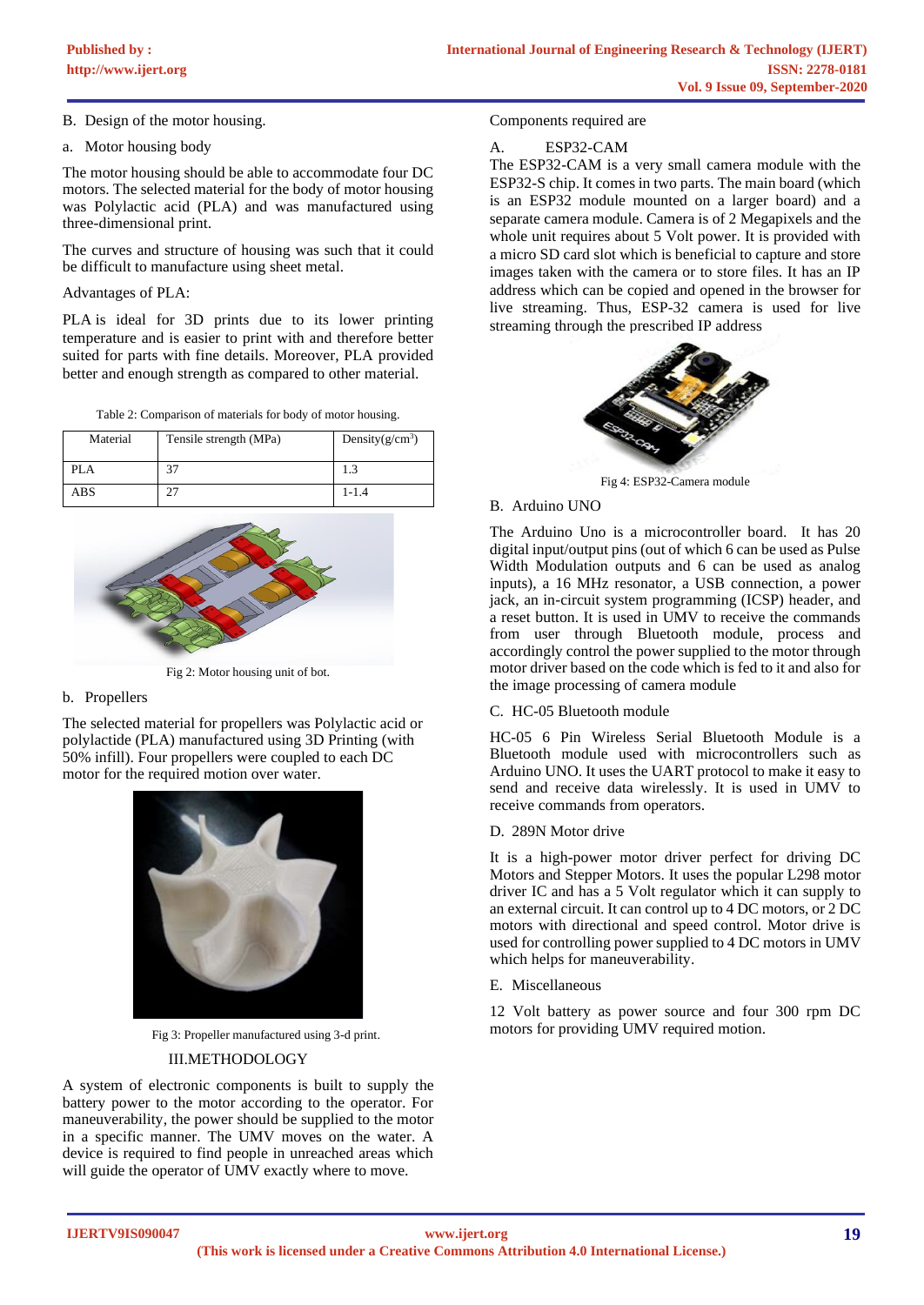B. Design of the motor housing.

a. Motor housing body

The motor housing should be able to accommodate four DC motors. The selected material for the body of motor housing was Polylactic acid (PLA) and was manufactured using three-dimensional print.

The curves and structure of housing was such that it could be difficult to manufacture using sheet metal.

## Advantages of PLA:

[PLA](https://www.3dhubs.com/3d-printing/plastic/pla/) is ideal for 3D prints due to its lower printing temperature and is easier to print with and therefore better suited for parts with fine details. Moreover, PLA provided better and enough strength as compared to other material.

|  |  | Table 2: Comparison of materials for body of motor housing. |
|--|--|-------------------------------------------------------------|
|  |  |                                                             |

| Material | Tensile strength (MPa) | Density $(g/cm^3)$ |
|----------|------------------------|--------------------|
| PLA      | 37                     |                    |
| ABS      |                        | $1 - 1.4$          |



Fig 2: Motor housing unit of bot.

## b. Propellers

The selected material for propellers was Polylactic acid or polylactide (PLA) manufactured using 3D Printing (with 50% infill). Four propellers were coupled to each DC motor for the required motion over water.



 Fig 3: Propeller manufactured using 3-d print. III.METHODOLOGY

A system of electronic components is built to supply the battery power to the motor according to the operator. For maneuverability, the power should be supplied to the motor in a specific manner. The UMV moves on the water. A device is required to find people in unreached areas which will guide the operator of UMV exactly where to move.

Components required are

## A. ESP32-CAM

The ESP32-CAM is a very small camera module with the ESP32-S chip. It comes in two parts. The main board (which is an ESP32 module mounted on a larger board) and a separate camera module. Camera is of 2 Megapixels and the whole unit requires about 5 Volt power. It is provided with a micro SD card slot which is beneficial to capture and store images taken with the camera or to store files. It has an IP address which can be copied and opened in the browser for live streaming. Thus, ESP-32 camera is used for live streaming through the prescribed IP address



Fig 4: ESP32-Camera module

## B. Arduino UNO

The Arduino Uno is a microcontroller board. It has 20 digital input/output pins (out of which 6 can be used as Pulse Width Modulation outputs and 6 can be used as analog inputs), a 16 MHz resonator, a USB connection, a power jack, an in-circuit system programming (ICSP) header, and a reset button. It is used in UMV to receive the commands from user through Bluetooth module, process and accordingly control the power supplied to the motor through motor driver based on the code which is fed to it and also for the image processing of camera module

## C. HC-05 Bluetooth module

HC-05 6 Pin Wireless Serial Bluetooth Module is a Bluetooth module used with microcontrollers such as Arduino UNO. It uses the UART protocol to make it easy to send and receive data wirelessly. It is used in UMV to receive commands from operators.

## D. 289N Motor drive

It is a high-power motor driver perfect for driving DC Motors and Stepper Motors. It uses the popular L298 motor driver IC and has a 5 Volt regulator which it can supply to an external circuit. It can control up to 4 DC motors, or 2 DC motors with directional and speed control. Motor drive is used for controlling power supplied to 4 DC motors in UMV which helps for maneuverability.

E. Miscellaneous

12 Volt battery as power source and four 300 rpm DC motors for providing UMV required motion.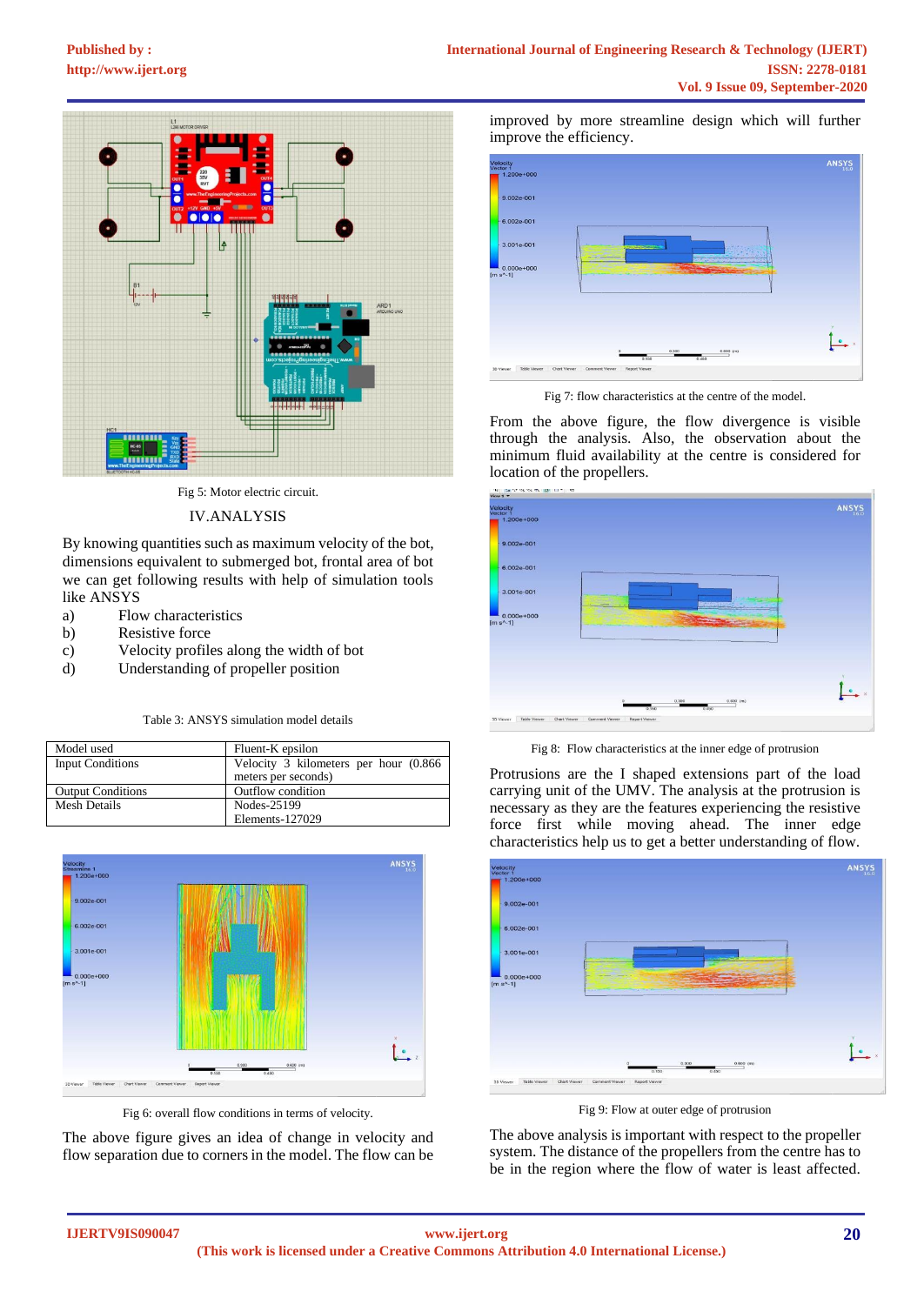

Fig 5: Motor electric circuit.

#### IV.ANALYSIS

By knowing quantities such as maximum velocity of the bot, dimensions equivalent to submerged bot, frontal area of bot we can get following results with help of simulation tools like ANSYS

- a) Flow characteristics
- b) Resistive force
- c) Velocity profiles along the width of bot
- d) Understanding of propeller position

Table 3: ANSYS simulation model details

| Model used               | Fluent-K epsilon                       |
|--------------------------|----------------------------------------|
| <b>Input Conditions</b>  | Velocity 3 kilometers per hour (0.866) |
|                          | meters per seconds)                    |
| <b>Output Conditions</b> | Outflow condition                      |
| Mesh Details             | Nodes-25199                            |
|                          | Elements-127029                        |



Fig 6: overall flow conditions in terms of velocity.

The above figure gives an idea of change in velocity and flow separation due to corners in the model. The flow can be improved by more streamline design which will further improve the efficiency.



Fig 7: flow characteristics at the centre of the model.

From the above figure, the flow divergence is visible through the analysis. Also, the observation about the minimum fluid availability at the centre is considered for location of the propellers.



Fig 8: Flow characteristics at the inner edge of protrusion

Protrusions are the I shaped extensions part of the load carrying unit of the UMV. The analysis at the protrusion is necessary as they are the features experiencing the resistive force first while moving ahead. The inner edge characteristics help us to get a better understanding of flow.



Fig 9: Flow at outer edge of protrusion

The above analysis is important with respect to the propeller system. The distance of the propellers from the centre has to be in the region where the flow of water is least affected.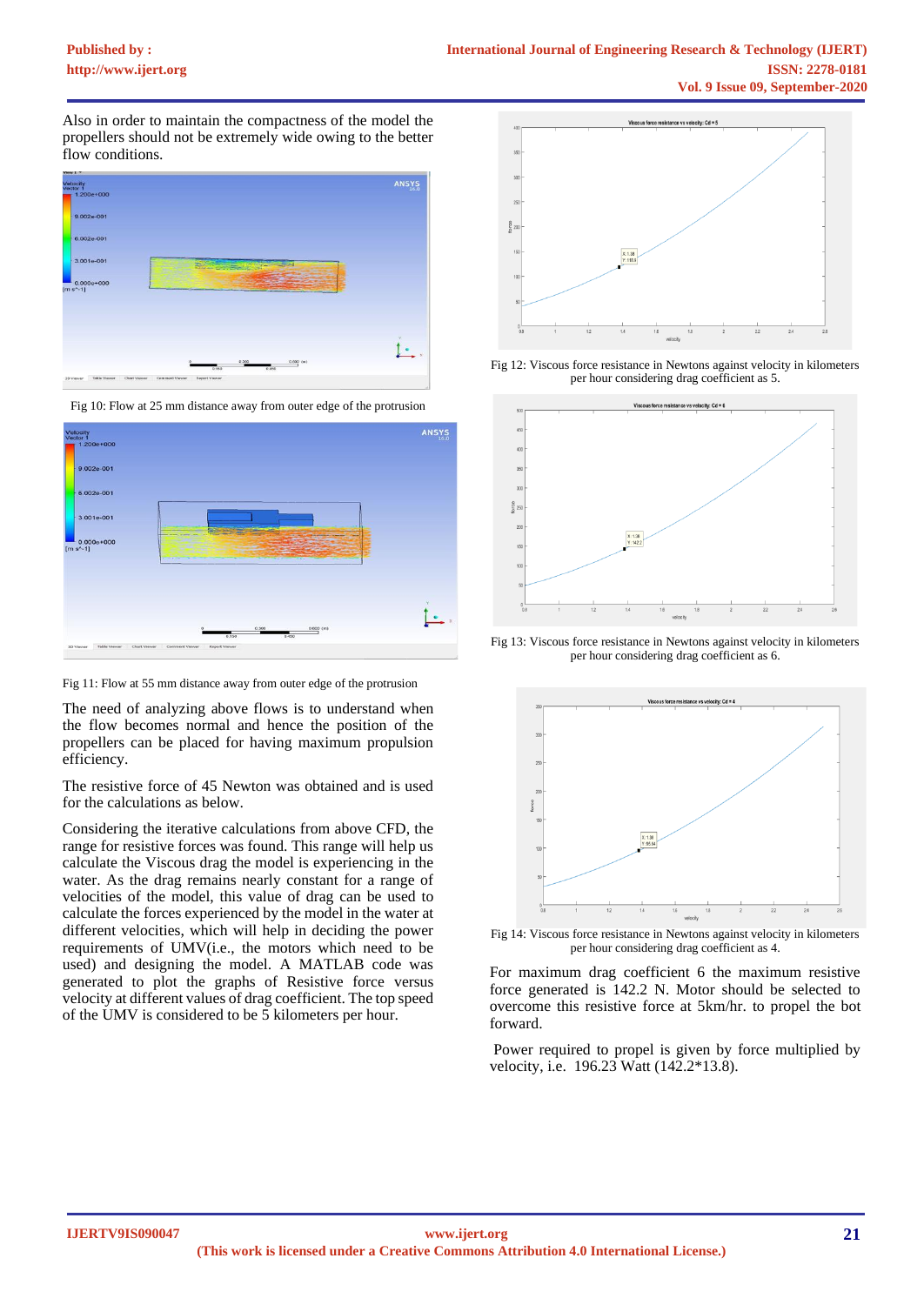Also in order to maintain the compactness of the model the propellers should not be extremely wide owing to the better flow conditions.



Fig 10: Flow at 25 mm distance away from outer edge of the protrusion



Fig 11: Flow at 55 mm distance away from outer edge of the protrusion

The need of analyzing above flows is to understand when the flow becomes normal and hence the position of the propellers can be placed for having maximum propulsion efficiency.

The resistive force of 45 Newton was obtained and is used for the calculations as below.

Considering the iterative calculations from above CFD, the range for resistive forces was found. This range will help us calculate the Viscous drag the model is experiencing in the water. As the drag remains nearly constant for a range of velocities of the model, this value of drag can be used to calculate the forces experienced by the model in the water at different velocities, which will help in deciding the power requirements of UMV(i.e., the motors which need to be used) and designing the model. A MATLAB code was generated to plot the graphs of Resistive force versus velocity at different values of drag coefficient. The top speed of the UMV is considered to be 5 kilometers per hour.



Fig 12: Viscous force resistance in Newtons against velocity in kilometers per hour considering drag coefficient as 5.



Fig 13: Viscous force resistance in Newtons against velocity in kilometers per hour considering drag coefficient as 6.



Fig 14: Viscous force resistance in Newtons against velocity in kilometers per hour considering drag coefficient as 4.

For maximum drag coefficient 6 the maximum resistive force generated is 142.2 N. Motor should be selected to overcome this resistive force at 5km/hr. to propel the bot forward.

Power required to propel is given by force multiplied by velocity, i.e. 196.23 Watt (142.2\*13.8).